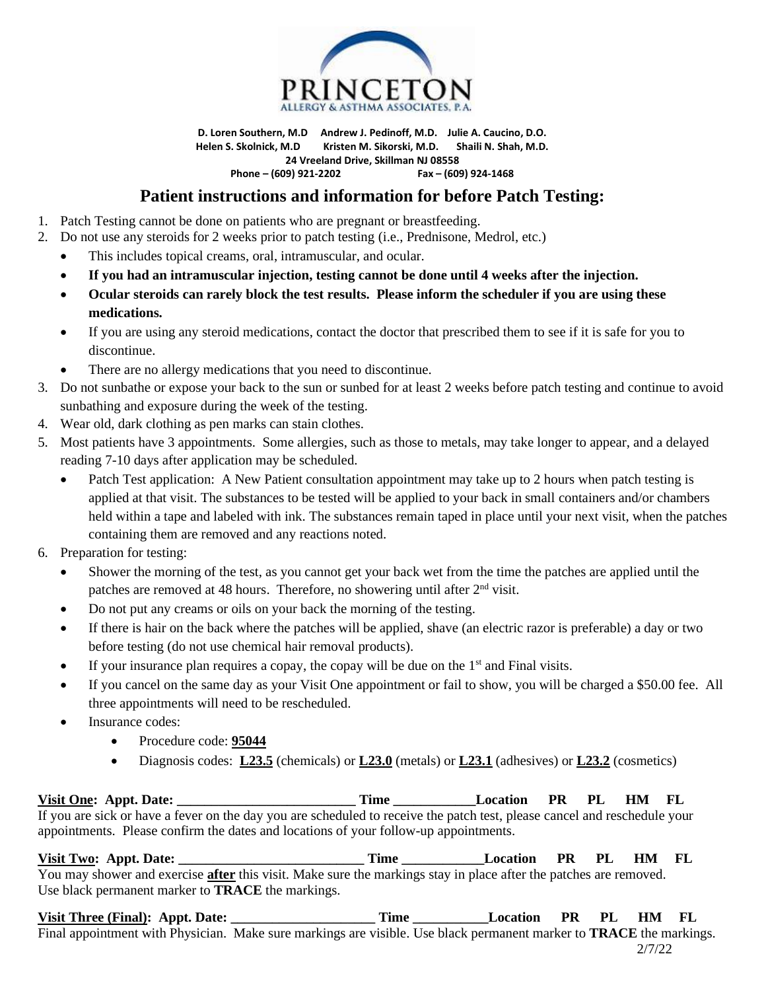

**D. Loren Southern, M.D Andrew J. Pedinoff, M.D. Julie A. Caucino, D.O. Helen S. Skolnick, M.D Kristen M. Sikorski, M.D. Shaili N. Shah, M.D. 24 Vreeland Drive, Skillman NJ 08558 Phone – (609) 921-2202 Fax – (609) 924-1468**

## **Patient instructions and information for before Patch Testing:**

- 1. Patch Testing cannot be done on patients who are pregnant or breastfeeding.
- 2. Do not use any steroids for 2 weeks prior to patch testing (i.e., Prednisone, Medrol, etc.)
	- This includes topical creams, oral, intramuscular, and ocular.
	- **If you had an intramuscular injection, testing cannot be done until 4 weeks after the injection.**
	- **Ocular steroids can rarely block the test results. Please inform the scheduler if you are using these medications.**
	- If you are using any steroid medications, contact the doctor that prescribed them to see if it is safe for you to discontinue.
	- There are no allergy medications that you need to discontinue.
- 3. Do not sunbathe or expose your back to the sun or sunbed for at least 2 weeks before patch testing and continue to avoid sunbathing and exposure during the week of the testing.
- 4. Wear old, dark clothing as pen marks can stain clothes.
- 5. Most patients have 3 appointments. Some allergies, such as those to metals, may take longer to appear, and a delayed reading 7-10 days after application may be scheduled.
	- Patch Test application: A New Patient consultation appointment may take up to 2 hours when patch testing is applied at that visit. The substances to be tested will be applied to your back in small containers and/or chambers held within a tape and labeled with ink. The substances remain taped in place until your next visit, when the patches containing them are removed and any reactions noted.
- 6. Preparation for testing:
	- Shower the morning of the test, as you cannot get your back wet from the time the patches are applied until the patches are removed at 48 hours. Therefore, no showering until after 2nd visit.
	- Do not put any creams or oils on your back the morning of the testing.
	- If there is hair on the back where the patches will be applied, shave (an electric razor is preferable) a day or two before testing (do not use chemical hair removal products).
	- If your insurance plan requires a copay, the copay will be due on the  $1<sup>st</sup>$  and Final visits.
	- If you cancel on the same day as your Visit One appointment or fail to show, you will be charged a \$50.00 fee. All three appointments will need to be rescheduled.
	- Insurance codes:
		- Procedure code: **95044**
		- Diagnosis codes: **L23.5** (chemicals) or **L23.0** (metals) or **L23.1** (adhesives) or **L23.2** (cosmetics)

Visit One: Appt. Date: **Time Location PR PL HM FL** If you are sick or have a fever on the day you are scheduled to receive the patch test, please cancel and reschedule your appointments. Please confirm the dates and locations of your follow-up appointments.

**Visit Two: Appt. Date: \_\_\_\_\_\_\_\_\_\_\_\_\_\_\_\_\_\_\_\_\_\_\_\_\_\_\_ Time \_\_\_\_\_\_\_\_\_\_\_\_Location PR PL HM FL** You may shower and exercise **after** this visit. Make sure the markings stay in place after the patches are removed. Use black permanent marker to **TRACE** the markings.

Visit Three (Final): Appt. Date: \_\_\_\_\_\_\_\_\_\_\_\_\_\_\_\_\_\_\_\_\_\_\_\_\_Time \_\_\_\_\_\_\_\_\_\_\_Location PR PL HM FL Final appointment with Physician. Make sure markings are visible. Use black permanent marker to **TRACE** the markings. 2/7/22